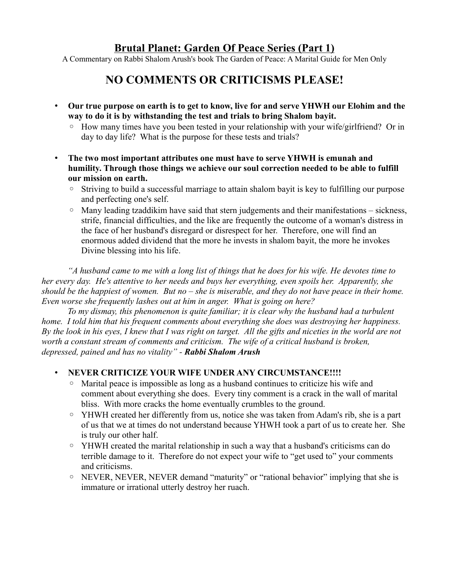## **Brutal Planet: Garden Of Peace Series (Part 1)**

A Commentary on Rabbi Shalom Arush's book The Garden of Peace: A Marital Guide for Men Only

# **NO COMMENTS OR CRITICISMS PLEASE!**

- **Our true purpose on earth is to get to know, live for and serve YHWH our Elohim and the way to do it is by withstanding the test and trials to bring Shalom bayit.**
	- How many times have you been tested in your relationship with your wife/girlfriend? Or in day to day life? What is the purpose for these tests and trials?
- **The two most important attributes one must have to serve YHWH is emunah and humility. Through those things we achieve our soul correction needed to be able to fulfill our mission on earth.** 
	- Striving to build a successful marriage to attain shalom bayit is key to fulfilling our purpose and perfecting one's self.
	- $\degree$  Many leading tzaddikim have said that stern judgements and their manifestations sickness, strife, financial difficulties, and the like are frequently the outcome of a woman's distress in the face of her husband's disregard or disrespect for her. Therefore, one will find an enormous added dividend that the more he invests in shalom bayit, the more he invokes Divine blessing into his life.

*"A husband came to me with a long list of things that he does for his wife. He devotes time to her every day. He's attentive to her needs and buys her everything, even spoils her. Apparently, she should be the happiest of women. But no – she is miserable, and they do not have peace in their home. Even worse she frequently lashes out at him in anger. What is going on here?*

*To my dismay, this phenomenon is quite familiar; it is clear why the husband had a turbulent home. I told him that his frequent comments about everything she does was destroying her happiness. By the look in his eyes, I knew that I was right on target. All the gifts and niceties in the world are not worth a constant stream of comments and criticism. The wife of a critical husband is broken, depressed, pained and has no vitality" - Rabbi Shalom Arush* 

#### • **NEVER CRITICIZE YOUR WIFE UNDER ANY CIRCUMSTANCE!!!!**

- Marital peace is impossible as long as a husband continues to criticize his wife and comment about everything she does. Every tiny comment is a crack in the wall of marital bliss. With more cracks the home eventually crumbles to the ground.
- YHWH created her differently from us, notice she was taken from Adam's rib, she is a part of us that we at times do not understand because YHWH took a part of us to create her. She is truly our other half.
- YHWH created the marital relationship in such a way that a husband's criticisms can do terrible damage to it. Therefore do not expect your wife to "get used to" your comments and criticisms.
- NEVER, NEVER, NEVER demand "maturity" or "rational behavior" implying that she is immature or irrational utterly destroy her ruach.